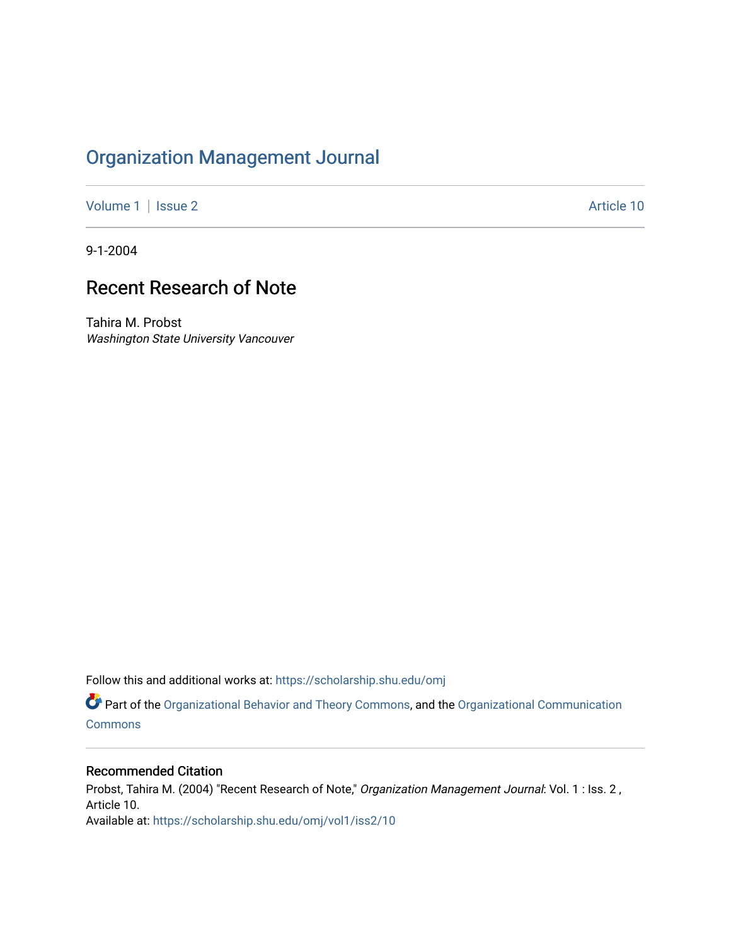# [Organization Management Journal](https://scholarship.shu.edu/omj)

[Volume 1](https://scholarship.shu.edu/omj/vol1) | [Issue 2](https://scholarship.shu.edu/omj/vol1/iss2) Article 10

9-1-2004

# Recent Research of Note

Tahira M. Probst Washington State University Vancouver

Follow this and additional works at: [https://scholarship.shu.edu/omj](https://scholarship.shu.edu/omj?utm_source=scholarship.shu.edu%2Fomj%2Fvol1%2Fiss2%2F10&utm_medium=PDF&utm_campaign=PDFCoverPages) 

Part of the [Organizational Behavior and Theory Commons,](http://network.bepress.com/hgg/discipline/639?utm_source=scholarship.shu.edu%2Fomj%2Fvol1%2Fiss2%2F10&utm_medium=PDF&utm_campaign=PDFCoverPages) and the [Organizational Communication](http://network.bepress.com/hgg/discipline/335?utm_source=scholarship.shu.edu%2Fomj%2Fvol1%2Fiss2%2F10&utm_medium=PDF&utm_campaign=PDFCoverPages) **[Commons](http://network.bepress.com/hgg/discipline/335?utm_source=scholarship.shu.edu%2Fomj%2Fvol1%2Fiss2%2F10&utm_medium=PDF&utm_campaign=PDFCoverPages)** 

#### Recommended Citation

Probst, Tahira M. (2004) "Recent Research of Note," Organization Management Journal: Vol. 1 : Iss. 2, Article 10. Available at: [https://scholarship.shu.edu/omj/vol1/iss2/10](https://scholarship.shu.edu/omj/vol1/iss2/10?utm_source=scholarship.shu.edu%2Fomj%2Fvol1%2Fiss2%2F10&utm_medium=PDF&utm_campaign=PDFCoverPages)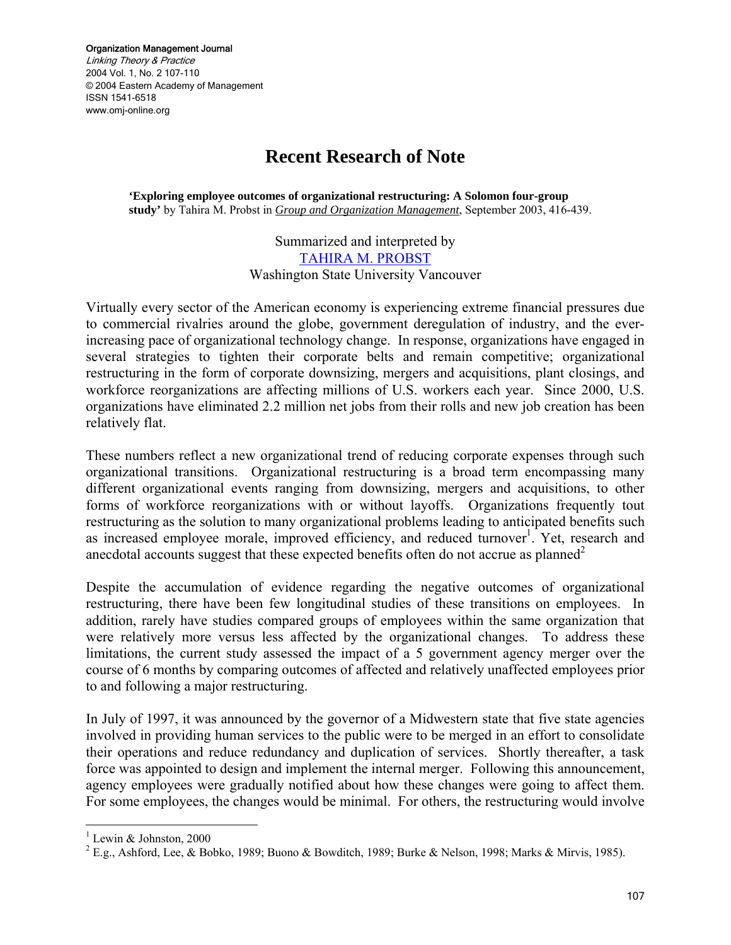Organization Management Journal Linking Theory & Practice 2004 Vol. 1, No. 2 107-110 © 2004 Eastern Academy of Management ISSN 1541-6518 www.omj-online.org

### **Recent Research of Note**

**'Exploring employee outcomes of organizational restructuring: A Solomon four-group study'** by Tahira M. Probst in *Group and Organization Management*, September 2003, 416-439.

> Summarized and interpreted by [TAHIRA M. PROBST](mailto:probst@vancouver.wsu.edu) Washington State University Vancouver

Virtually every sector of the American economy is experiencing extreme financial pressures due to commercial rivalries around the globe, government deregulation of industry, and the everincreasing pace of organizational technology change. In response, organizations have engaged in several strategies to tighten their corporate belts and remain competitive; organizational restructuring in the form of corporate downsizing, mergers and acquisitions, plant closings, and workforce reorganizations are affecting millions of U.S. workers each year. Since 2000, U.S. organizations have eliminated 2.2 million net jobs from their rolls and new job creation has been relatively flat.

These numbers reflect a new organizational trend of reducing corporate expenses through such organizational transitions. Organizational restructuring is a broad term encompassing many different organizational events ranging from downsizing, mergers and acquisitions, to other forms of workforce reorganizations with or without layoffs. Organizations frequently tout restructuring as the solution to many organizational problems leading to anticipated benefits such as increased employee morale, improved efficiency, and reduced turnover<sup>1</sup>. Yet, research and anecdotal accounts suggest that these expected benefits often do not accrue as planned<sup>[2](#page-1-1)</sup>

Despite the accumulation of evidence regarding the negative outcomes of organizational restructuring, there have been few longitudinal studies of these transitions on employees. In addition, rarely have studies compared groups of employees within the same organization that were relatively more versus less affected by the organizational changes. To address these limitations, the current study assessed the impact of a 5 government agency merger over the course of 6 months by comparing outcomes of affected and relatively unaffected employees prior to and following a major restructuring.

In July of 1997, it was announced by the governor of a Midwestern state that five state agencies involved in providing human services to the public were to be merged in an effort to consolidate their operations and reduce redundancy and duplication of services. Shortly thereafter, a task force was appointed to design and implement the internal merger. Following this announcement, agency employees were gradually notified about how these changes were going to affect them. For some employees, the changes would be minimal. For others, the restructuring would involve

 $\overline{a}$ 

<span id="page-1-0"></span><sup>&</sup>lt;sup>1</sup> Lewin & Johnston, 2000

<span id="page-1-1"></span>E.g., Ashford, Lee, & Bobko, 1989; Buono & Bowditch, 1989; Burke & Nelson, 1998; Marks & Mirvis, 1985).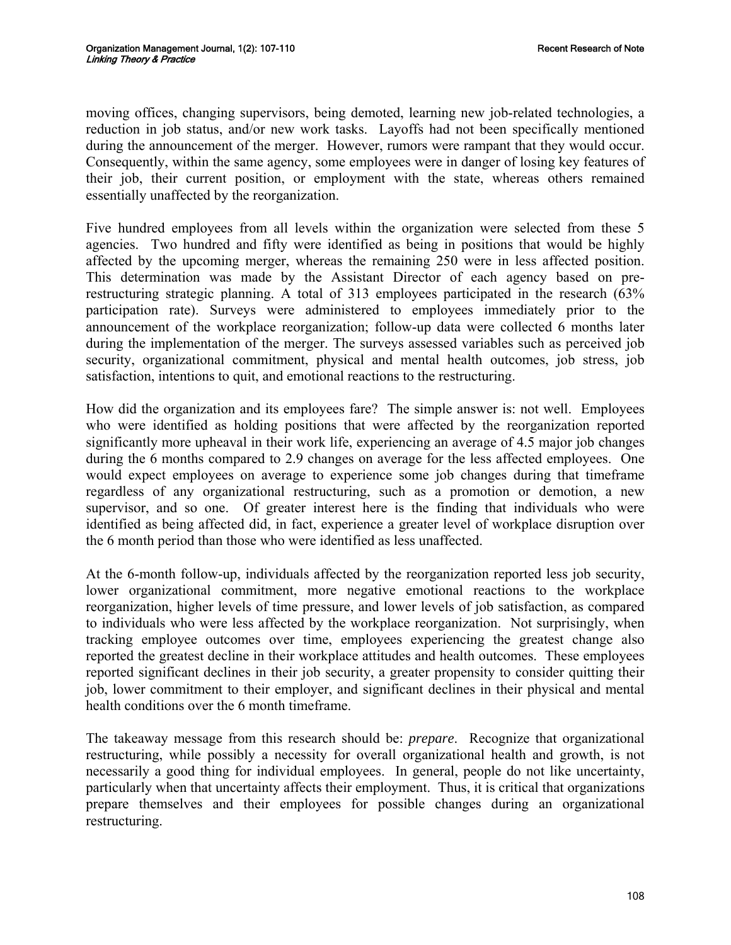moving offices, changing supervisors, being demoted, learning new job-related technologies, a reduction in job status, and/or new work tasks. Layoffs had not been specifically mentioned during the announcement of the merger. However, rumors were rampant that they would occur. Consequently, within the same agency, some employees were in danger of losing key features of their job, their current position, or employment with the state, whereas others remained essentially unaffected by the reorganization.

Five hundred employees from all levels within the organization were selected from these 5 agencies. Two hundred and fifty were identified as being in positions that would be highly affected by the upcoming merger, whereas the remaining 250 were in less affected position. This determination was made by the Assistant Director of each agency based on prerestructuring strategic planning. A total of 313 employees participated in the research (63% participation rate). Surveys were administered to employees immediately prior to the announcement of the workplace reorganization; follow-up data were collected 6 months later during the implementation of the merger. The surveys assessed variables such as perceived job security, organizational commitment, physical and mental health outcomes, job stress, job satisfaction, intentions to quit, and emotional reactions to the restructuring.

How did the organization and its employees fare? The simple answer is: not well. Employees who were identified as holding positions that were affected by the reorganization reported significantly more upheaval in their work life, experiencing an average of 4.5 major job changes during the 6 months compared to 2.9 changes on average for the less affected employees. One would expect employees on average to experience some job changes during that timeframe regardless of any organizational restructuring, such as a promotion or demotion, a new supervisor, and so one. Of greater interest here is the finding that individuals who were identified as being affected did, in fact, experience a greater level of workplace disruption over the 6 month period than those who were identified as less unaffected.

At the 6-month follow-up, individuals affected by the reorganization reported less job security, lower organizational commitment, more negative emotional reactions to the workplace reorganization, higher levels of time pressure, and lower levels of job satisfaction, as compared to individuals who were less affected by the workplace reorganization. Not surprisingly, when tracking employee outcomes over time, employees experiencing the greatest change also reported the greatest decline in their workplace attitudes and health outcomes. These employees reported significant declines in their job security, a greater propensity to consider quitting their job, lower commitment to their employer, and significant declines in their physical and mental health conditions over the 6 month timeframe.

The takeaway message from this research should be: *prepare*. Recognize that organizational restructuring, while possibly a necessity for overall organizational health and growth, is not necessarily a good thing for individual employees. In general, people do not like uncertainty, particularly when that uncertainty affects their employment. Thus, it is critical that organizations prepare themselves and their employees for possible changes during an organizational restructuring.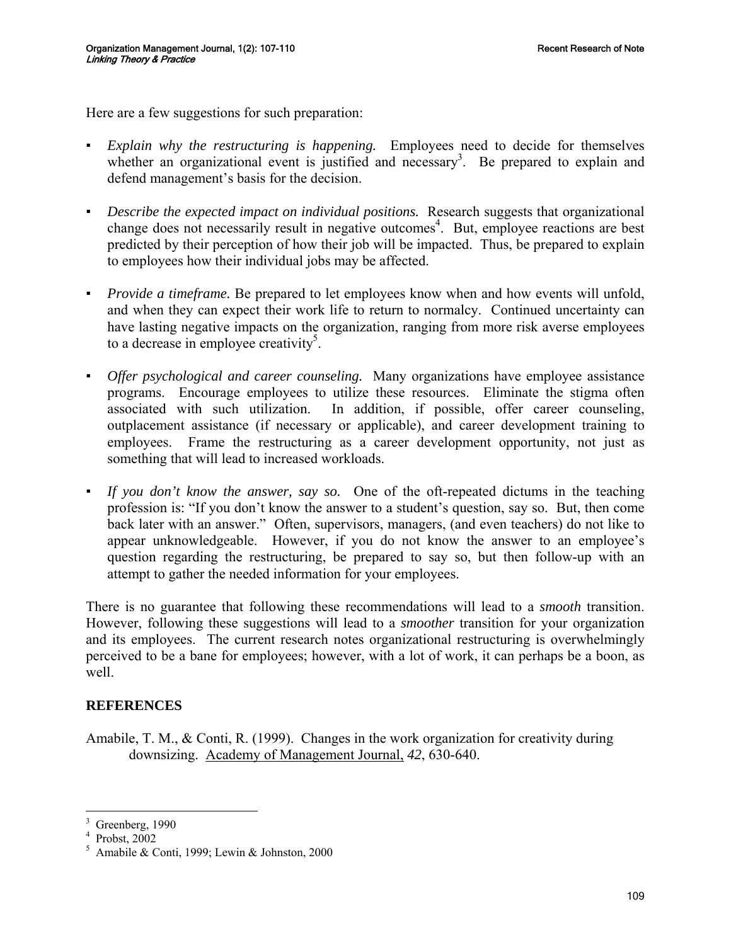Here are a few suggestions for such preparation:

- *Explain why the restructuring is happening.* Employees need to decide for themselves whether an organizational event is justified and necessary<sup>[3](#page-3-0)</sup>. Be prepared to explain and defend management's basis for the decision.
- *Describe the expected impact on individual positions.* Research suggests that organizational change does not necessarily result in negative outcomes<sup>[4](#page-3-1)</sup>. But, employee reactions are best predicted by their perception of how their job will be impacted. Thus, be prepared to explain to employees how their individual jobs may be affected.
- *Provide a timeframe.* Be prepared to let employees know when and how events will unfold, and when they can expect their work life to return to normalcy. Continued uncertainty can have lasting negative impacts on the organization, ranging from more risk averse employees to a decrease in employee creativity<sup>[5](#page-3-2)</sup>.
- *Offer psychological and career counseling.* Many organizations have employee assistance programs. Encourage employees to utilize these resources. Eliminate the stigma often associated with such utilization. In addition, if possible, offer career counseling, outplacement assistance (if necessary or applicable), and career development training to employees. Frame the restructuring as a career development opportunity, not just as something that will lead to increased workloads.
- If you don't know the answer, say so. One of the oft-repeated dictums in the teaching profession is: "If you don't know the answer to a student's question, say so. But, then come back later with an answer." Often, supervisors, managers, (and even teachers) do not like to appear unknowledgeable. However, if you do not know the answer to an employee's question regarding the restructuring, be prepared to say so, but then follow-up with an attempt to gather the needed information for your employees.

There is no guarantee that following these recommendations will lead to a *smooth* transition. However, following these suggestions will lead to a *smoother* transition for your organization and its employees. The current research notes organizational restructuring is overwhelmingly perceived to be a bane for employees; however, with a lot of work, it can perhaps be a boon, as well.

### **REFERENCES**

Amabile, T. M., & Conti, R. (1999). Changes in the work organization for creativity during downsizing. Academy of Management Journal, *42*, 630-640.

 $\overline{a}$  $^3$  Greenberg, 1990

<span id="page-3-1"></span><span id="page-3-0"></span> $4$  Probst, 2002

<span id="page-3-2"></span> $\frac{5}{5}$  Amabile & Conti, 1999; Lewin & Johnston, 2000